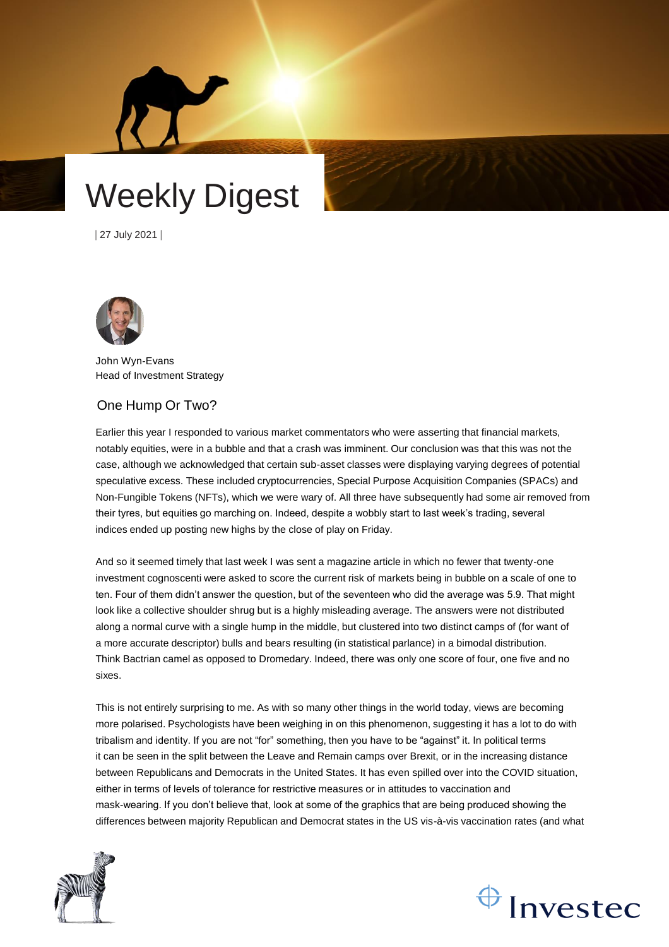



| 27 July 2021 |



John Wyn-Evans Head of Investment Strategy

# One Hump Or Two?

Earlier this year I responded to various market commentators who were asserting that financial markets, notably equities, were in a bubble and that a crash was imminent. Our conclusion was that this was not the case, although we acknowledged that certain sub-asset classes were displaying varying degrees of potential speculative excess. These included cryptocurrencies, Special Purpose Acquisition Companies (SPACs) and Non-Fungible Tokens (NFTs), which we were wary of. All three have subsequently had some air removed from their tyres, but equities go marching on. Indeed, despite a wobbly start to last week's trading, several indices ended up posting new highs by the close of play on Friday.

And so it seemed timely that last week I was sent a magazine article in which no fewer that twenty-one investment cognoscenti were asked to score the current risk of markets being in bubble on a scale of one to ten. Four of them didn't answer the question, but of the seventeen who did the average was 5.9. That might look like a collective shoulder shrug but is a highly misleading average. The answers were not distributed along a normal curve with a single hump in the middle, but clustered into two distinct camps of (for want of a more accurate descriptor) bulls and bears resulting (in statistical parlance) in a bimodal distribution. Think Bactrian camel as opposed to Dromedary. Indeed, there was only one score of four, one five and no sixes.

This is not entirely surprising to me. As with so many other things in the world today, views are becoming more polarised. Psychologists have been weighing in on this phenomenon, suggesting it has a lot to do with tribalism and identity. If you are not "for" something, then you have to be "against" it. In political terms it can be seen in the split between the Leave and Remain camps over Brexit, or in the increasing distance between Republicans and Democrats in the United States. It has even spilled over into the COVID situation, either in terms of levels of tolerance for restrictive measures or in attitudes to vaccination and mask-wearing. If you don't believe that, look at some of the graphics that are being produced showing the differences between majority Republican and Democrat states in the US vis-à-vis vaccination rates (and what



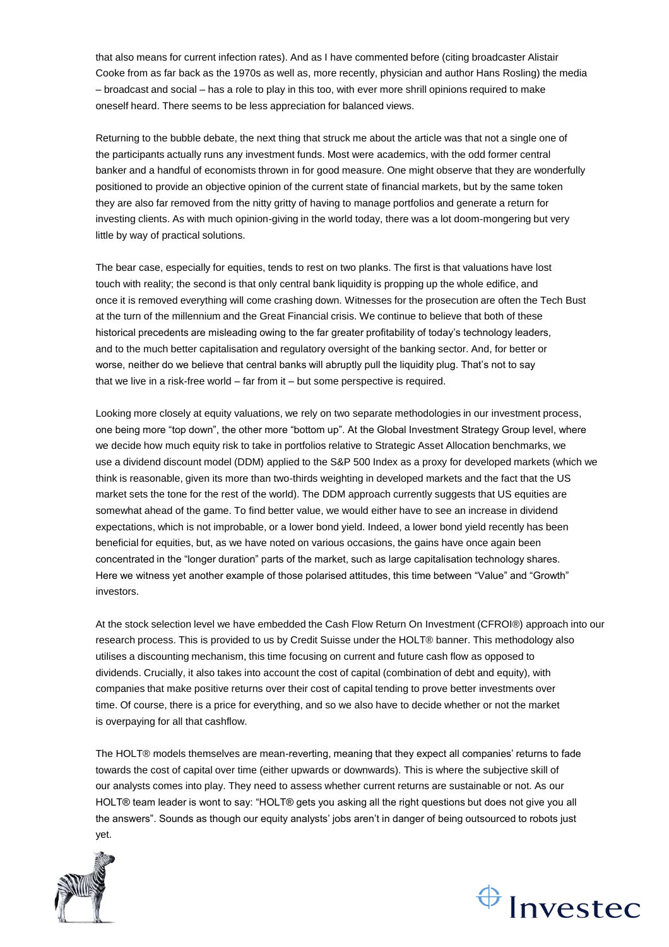that also means for current infection rates). And as I have commented before (citing broadcaster Alistair Cooke from as far back as the 1970s as well as, more recently, physician and author Hans Rosling) the media – broadcast and social – has a role to play in this too, with ever more shrill opinions required to make oneself heard. There seems to be less appreciation for balanced views.

Returning to the bubble debate, the next thing that struck me about the article was that not a single one of the participants actually runs any investment funds. Most were academics, with the odd former central banker and a handful of economists thrown in for good measure. One might observe that they are wonderfully positioned to provide an objective opinion of the current state of financial markets, but by the same token they are also far removed from the nitty gritty of having to manage portfolios and generate a return for investing clients. As with much opinion-giving in the world today, there was a lot doom-mongering but very little by way of practical solutions.

The bear case, especially for equities, tends to rest on two planks. The first is that valuations have lost touch with reality; the second is that only central bank liquidity is propping up the whole edifice, and once it is removed everything will come crashing down. Witnesses for the prosecution are often the Tech Bust at the turn of the millennium and the Great Financial crisis. We continue to believe that both of these historical precedents are misleading owing to the far greater profitability of today's technology leaders, and to the much better capitalisation and regulatory oversight of the banking sector. And, for better or worse, neither do we believe that central banks will abruptly pull the liquidity plug. That's not to say that we live in a risk-free world – far from it – but some perspective is required.

Looking more closely at equity valuations, we rely on two separate methodologies in our investment process, one being more "top down", the other more "bottom up". At the Global Investment Strategy Group level, where we decide how much equity risk to take in portfolios relative to Strategic Asset Allocation benchmarks, we use a dividend discount model (DDM) applied to the S&P 500 Index as a proxy for developed markets (which we think is reasonable, given its more than two-thirds weighting in developed markets and the fact that the US market sets the tone for the rest of the world). The DDM approach currently suggests that US equities are somewhat ahead of the game. To find better value, we would either have to see an increase in dividend expectations, which is not improbable, or a lower bond yield. Indeed, a lower bond yield recently has been beneficial for equities, but, as we have noted on various occasions, the gains have once again been concentrated in the "longer duration" parts of the market, such as large capitalisation technology shares. Here we witness yet another example of those polarised attitudes, this time between "Value" and "Growth" investors.

At the stock selection level we have embedded the Cash Flow Return On Investment (CFROI®) approach into our research process. This is provided to us by Credit Suisse under the HOLT® banner. This methodology also utilises a discounting mechanism, this time focusing on current and future cash flow as opposed to dividends. Crucially, it also takes into account the cost of capital (combination of debt and equity), with companies that make positive returns over their cost of capital tending to prove better investments over time. Of course, there is a price for everything, and so we also have to decide whether or not the market is overpaying for all that cashflow.

The HOLT® models themselves are mean-reverting, meaning that they expect all companies' returns to fade towards the cost of capital over time (either upwards or downwards). This is where the subjective skill of our analysts comes into play. They need to assess whether current returns are sustainable or not. As our HOLT® team leader is wont to say: "HOLT® gets you asking all the right questions but does not give you all the answers". Sounds as though our equity analysts' jobs aren't in danger of being outsourced to robots just yet.



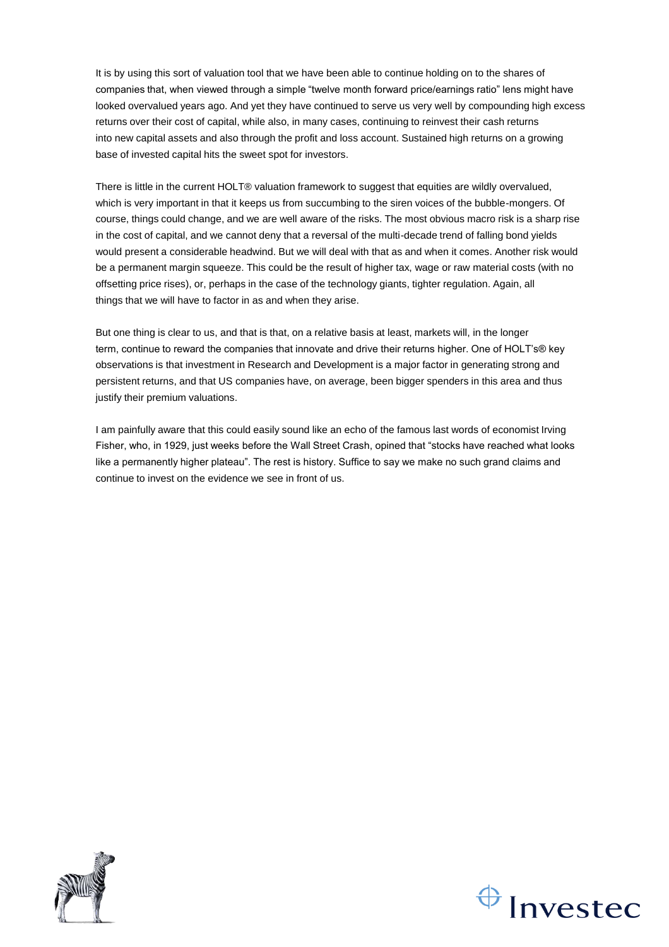It is by using this sort of valuation tool that we have been able to continue holding on to the shares of companies that, when viewed through a simple "twelve month forward price/earnings ratio" lens might have looked overvalued years ago. And yet they have continued to serve us very well by compounding high excess returns over their cost of capital, while also, in many cases, continuing to reinvest their cash returns into new capital assets and also through the profit and loss account. Sustained high returns on a growing base of invested capital hits the sweet spot for investors.

There is little in the current HOLT® valuation framework to suggest that equities are wildly overvalued, which is very important in that it keeps us from succumbing to the siren voices of the bubble-mongers. Of course, things could change, and we are well aware of the risks. The most obvious macro risk is a sharp rise in the cost of capital, and we cannot deny that a reversal of the multi-decade trend of falling bond yields would present a considerable headwind. But we will deal with that as and when it comes. Another risk would be a permanent margin squeeze. This could be the result of higher tax, wage or raw material costs (with no offsetting price rises), or, perhaps in the case of the technology giants, tighter regulation. Again, all things that we will have to factor in as and when they arise.

But one thing is clear to us, and that is that, on a relative basis at least, markets will, in the longer term, continue to reward the companies that innovate and drive their returns higher. One of HOLT's® key observations is that investment in Research and Development is a major factor in generating strong and persistent returns, and that US companies have, on average, been bigger spenders in this area and thus justify their premium valuations.

I am painfully aware that this could easily sound like an echo of the famous last words of economist Irving Fisher, who, in 1929, just weeks before the Wall Street Crash, opined that "stocks have reached what looks like a permanently higher plateau". The rest is history. Suffice to say we make no such grand claims and continue to invest on the evidence we see in front of us.